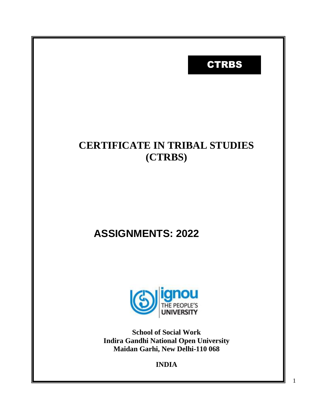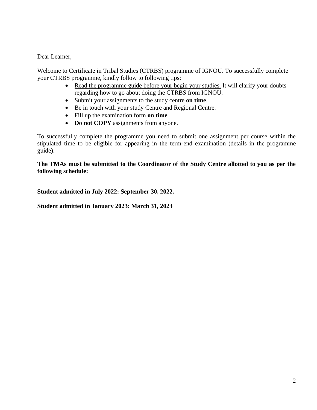Dear Learner,

Welcome to Certificate in Tribal Studies (CTRBS) programme of IGNOU. To successfully complete your CTRBS programme, kindly follow to following tips:

- Read the programme guide before your begin your studies. It will clarify your doubts regarding how to go about doing the CTRBS from IGNOU.
- Submit your assignments to the study centre **on time**.
- Be in touch with your study Centre and Regional Centre.
- Fill up the examination form **on time**.
- **Do not COPY** assignments from anyone.

To successfully complete the programme you need to submit one assignment per course within the stipulated time to be eligible for appearing in the term-end examination (details in the programme guide).

**The TMAs must be submitted to the Coordinator of the Study Centre allotted to you as per the following schedule:**

**Student admitted in July 2022: September 30, 2022.**

**Student admitted in January 2023: March 31, 2023**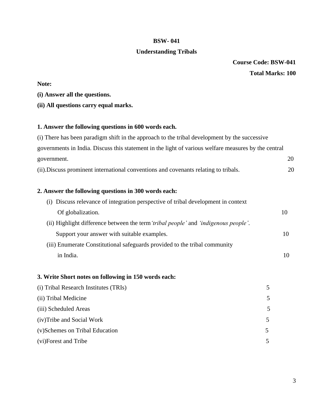### **Understanding Tribals**

**Course Code: BSW-041**

#### **Total Marks: 100**

# **Note:**

- **(i) Answer all the questions.**
- **(ii) All questions carry equal marks.**

# **1. Answer the following questions in 600 words each.**

| (i) There has been paradigm shift in the approach to the tribal development by the successive        |    |
|------------------------------------------------------------------------------------------------------|----|
| governments in India. Discuss this statement in the light of various welfare measures by the central |    |
| government.                                                                                          | 20 |
| (ii). Discuss prominent international conventions and covenants relating to tribals.                 | 20 |
| 2. Answer the following questions in 300 words each:                                                 |    |
| Discuss relevance of integration perspective of tribal development in context<br>(i)                 |    |
| Of globalization.                                                                                    | 10 |
| (ii) Highlight difference between the term 'tribal people' and 'indigenous people'.                  |    |
| Support your answer with suitable examples.                                                          | 10 |
| (iii) Enumerate Constitutional safeguards provided to the tribal community                           |    |
| in India.                                                                                            | 10 |
|                                                                                                      |    |
| 2 Write Short notes on following in 150 words each.                                                  |    |

#### **3. Write Short notes on following in 150 words each:**

| (i) Tribal Research Institutes (TRIs) |   |
|---------------------------------------|---|
| (ii) Tribal Medicine                  | 5 |
| (iii) Scheduled Areas                 | 5 |
| (iv) Tribe and Social Work            | 5 |
| (v) Schemes on Tribal Education       |   |
| (vi)Forest and Tribe                  |   |
|                                       |   |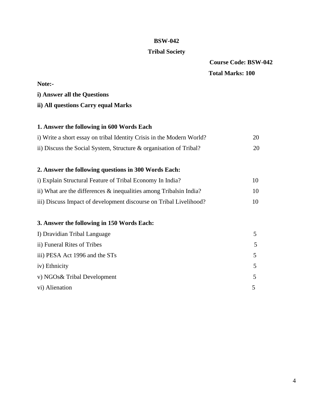#### **Tribal Society**

**Course Code: BSW-042 Total Marks: 100**

# **Note: i) Answer all the Questions ii) All questions Carry equal Marks 1. Answer the following in 600 Words Each** i) Write a short essay on tribal Identity Crisis in the Modern World? 20 ii) Discuss the Social System, Structure & organisation of Tribal? 20

# **2. Answer the following questions in 300 Words Each:**

| i) Explain Structural Feature of Tribal Economy In India?             | 10. |
|-----------------------------------------------------------------------|-----|
| ii) What are the differences $\&$ inequalities among Tribalsin India? | 10  |
| iii) Discuss Impact of development discourse on Tribal Livelihood?    | 10. |

## **3. Answer the following in 150 Words Each:**

| I) Dravidian Tribal Language   | 5 |
|--------------------------------|---|
| ii) Funeral Rites of Tribes    | 5 |
| iii) PESA Act 1996 and the STs | 5 |
| iv) Ethnicity                  | 5 |
| v) NGOs& Tribal Development    | 5 |
| vi) Alienation                 |   |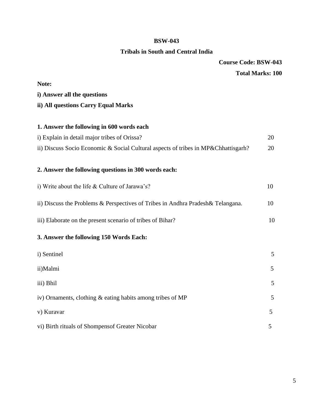# **Tribals in South and Central India**

**Course Code: BSW-043**

# **Total Marks: 100**

| Note:                                                                              |    |
|------------------------------------------------------------------------------------|----|
| i) Answer all the questions                                                        |    |
| ii) All questions Carry Equal Marks                                                |    |
|                                                                                    |    |
| 1. Answer the following in 600 words each                                          |    |
| i) Explain in detail major tribes of Orissa?                                       | 20 |
| ii) Discuss Socio Economic & Social Cultural aspects of tribes in MP&Chhattisgarh? | 20 |
|                                                                                    |    |
| 2. Answer the following questions in 300 words each:                               |    |
| i) Write about the life & Culture of Jarawa's?                                     | 10 |
|                                                                                    |    |
| ii) Discuss the Problems & Perspectives of Tribes in Andhra Pradesh & Telangana.   | 10 |
| iii) Elaborate on the present scenario of tribes of Bihar?                         | 10 |
|                                                                                    |    |
| 3. Answer the following 150 Words Each:                                            |    |
| i) Sentinel                                                                        | 5  |
|                                                                                    |    |
| ii)Malmi                                                                           | 5  |
| iii) Bhil                                                                          | 5  |
| iv) Ornaments, clothing & eating habits among tribes of MP                         | 5  |
| v) Kuravar                                                                         | 5  |
| vi) Birth rituals of Shompensof Greater Nicobar                                    | 5  |